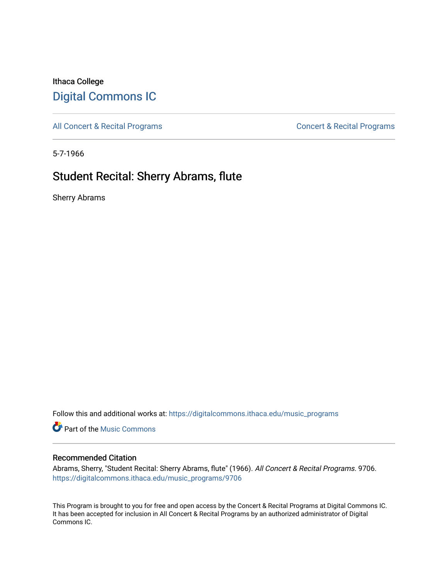## Ithaca College [Digital Commons IC](https://digitalcommons.ithaca.edu/)

[All Concert & Recital Programs](https://digitalcommons.ithaca.edu/music_programs) **Concert & Recital Programs** Concert & Recital Programs

5-7-1966

# Student Recital: Sherry Abrams, flute

Sherry Abrams

Follow this and additional works at: [https://digitalcommons.ithaca.edu/music\\_programs](https://digitalcommons.ithaca.edu/music_programs?utm_source=digitalcommons.ithaca.edu%2Fmusic_programs%2F9706&utm_medium=PDF&utm_campaign=PDFCoverPages) 

**Part of the Music Commons** 

#### Recommended Citation

Abrams, Sherry, "Student Recital: Sherry Abrams, flute" (1966). All Concert & Recital Programs. 9706. [https://digitalcommons.ithaca.edu/music\\_programs/9706](https://digitalcommons.ithaca.edu/music_programs/9706?utm_source=digitalcommons.ithaca.edu%2Fmusic_programs%2F9706&utm_medium=PDF&utm_campaign=PDFCoverPages) 

This Program is brought to you for free and open access by the Concert & Recital Programs at Digital Commons IC. It has been accepted for inclusion in All Concert & Recital Programs by an authorized administrator of Digital Commons IC.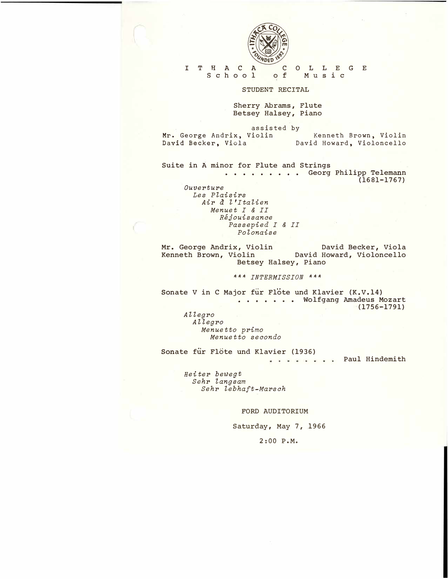

#### I T H A C A School C O L L E G E Music

STUDENT RECITAL

Sherry Abrams, Flute Betsey Halsey, Piano

assisted by Mr. George Andrix, Violin David Becker, Viola Kenneth Brown, Violin David Howard, Violoncello

Suite in A minor for Flute and Strings . . . . . . . . Georg Philipp Telemann (1681-1767) *Ouverture* 

*Les Plaisirs Air a l* I *Italien Menuet I & II Rejouissanoe Passepied I & II Polonaise* 

**Mr. George Andrix, Violin David Becker, Viola Kenneth Brown, Violin David Howard, Violoncello Betsey Halsey, Piano** 

*\*\*\* INTERMISSION \*\*\** 

Sonate V in C Major fur Flote und Klavier (K.V.14) **...... . Wolfgang Aadeus Mozart (1756-1791)** 

*Allegro Allegro Menuetto primo Menuetto seoondo* 

Sonate für Flöte und Klavier (1936) . Paul Hindemith

*Heiter bewegt Sehr langsam Sehr lebhaft�Marsoh* 

FORD AUDITORIUM

Saturday, May 7, 1966

2:00 P.M.